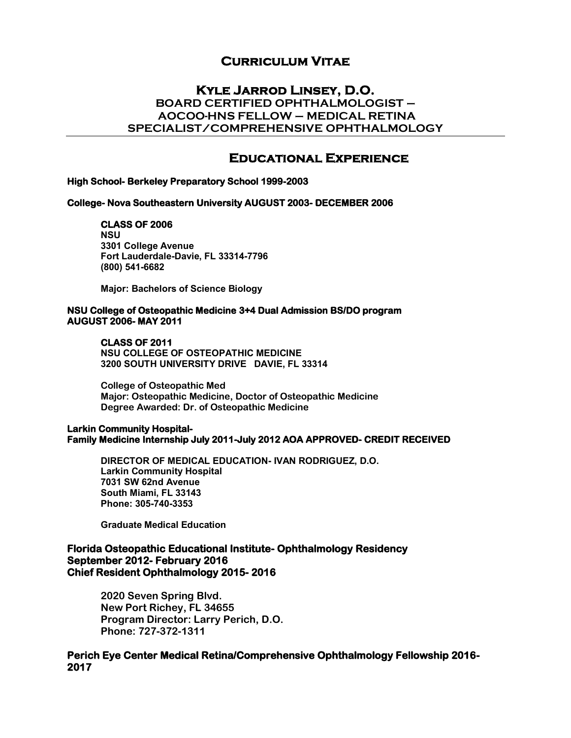## **Curriculum Vitae**

## **Kyle Jarrod Linsey, D.O. BOARD CERTIFIED OPHTHALMOLOGIST – AOCOO-HNS FELLOW – MEDICAL RETINA SPECIALIST/COMPREHENSIVE OPHTHALMOLOGY**

# **Educational Experience**

#### **High School- Berkeley Preparatory School 1999-2003**

#### **College- Nova Southeastern University AUGUST 2003- DECEMBER 2006**

#### **CLASS OF 2006**

**NSU 3301 College Avenue Fort Lauderdale-Davie, FL 33314-7796 (800) 541-6682**

**Major: Bachelors of Science Biology**

#### **NSU College of Osteopathic Medicine 3+4 Dual Admission BS/DO program AUGUST 2006- MAY 2011**

#### **CLASS OF 2011**

**NSU COLLEGE OF OSTEOPATHIC MEDICINE 3200 SOUTH UNIVERSITY DRIVE DAVIE, FL 33314**

**College of Osteopathic Med Major: Osteopathic Medicine, Doctor of Osteopathic Medicine Degree Awarded: Dr. of Osteopathic Medicine** 

#### **Larkin Community Hospital-Family Medicine Internship July 2011-July 2012 AOA APPROVED- CREDIT RECEIVED**

**DIRECTOR OF MEDICAL EDUCATION- IVAN RODRIGUEZ, D.O. Larkin Community Hospital 7031 SW 62nd Avenue South Miami, FL 33143 Phone: 305-740-3353**

**Graduate Medical Education** 

#### **Florida Osteopathic Educational Institute- Ophthalmology Residency September 2012- February 2016 Chief Resident Ophthalmology 2015- 2016**

 **2020 Seven Spring Blvd. New Port Richey, FL 34655 Program Director: Larry Perich, D.O. Phone: 727-372-1311**

### **Perich Eye Center Medical Retina/Comprehensive Ophthalmology Fellowship 2016- 2017**